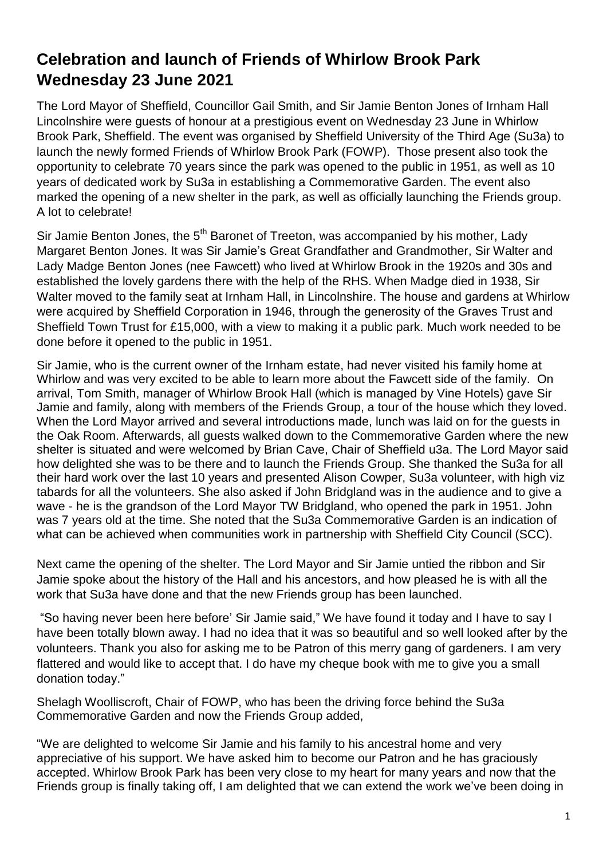## **Celebration and launch of Friends of Whirlow Brook Park Wednesday 23 June 2021**

The Lord Mayor of Sheffield, Councillor Gail Smith, and Sir Jamie Benton Jones of Irnham Hall Lincolnshire were guests of honour at a prestigious event on Wednesday 23 June in Whirlow Brook Park, Sheffield. The event was organised by Sheffield University of the Third Age (Su3a) to launch the newly formed Friends of Whirlow Brook Park (FOWP). Those present also took the opportunity to celebrate 70 years since the park was opened to the public in 1951, as well as 10 years of dedicated work by Su3a in establishing a Commemorative Garden. The event also marked the opening of a new shelter in the park, as well as officially launching the Friends group. A lot to celebrate!

Sir Jamie Benton Jones, the 5<sup>th</sup> Baronet of Treeton, was accompanied by his mother, Lady Margaret Benton Jones. It was Sir Jamie's Great Grandfather and Grandmother, Sir Walter and Lady Madge Benton Jones (nee Fawcett) who lived at Whirlow Brook in the 1920s and 30s and established the lovely gardens there with the help of the RHS. When Madge died in 1938, Sir Walter moved to the family seat at Irnham Hall, in Lincolnshire. The house and gardens at Whirlow were acquired by Sheffield Corporation in 1946, through the generosity of the Graves Trust and Sheffield Town Trust for £15,000, with a view to making it a public park. Much work needed to be done before it opened to the public in 1951.

Sir Jamie, who is the current owner of the Irnham estate, had never visited his family home at Whirlow and was very excited to be able to learn more about the Fawcett side of the family. On arrival, Tom Smith, manager of Whirlow Brook Hall (which is managed by Vine Hotels) gave Sir Jamie and family, along with members of the Friends Group, a tour of the house which they loved. When the Lord Mayor arrived and several introductions made, lunch was laid on for the guests in the Oak Room. Afterwards, all guests walked down to the Commemorative Garden where the new shelter is situated and were welcomed by Brian Cave, Chair of Sheffield u3a. The Lord Mayor said how delighted she was to be there and to launch the Friends Group. She thanked the Su3a for all their hard work over the last 10 years and presented Alison Cowper, Su3a volunteer, with high viz tabards for all the volunteers. She also asked if John Bridgland was in the audience and to give a wave - he is the grandson of the Lord Mayor TW Bridgland, who opened the park in 1951. John was 7 years old at the time. She noted that the Su3a Commemorative Garden is an indication of what can be achieved when communities work in partnership with Sheffield City Council (SCC).

Next came the opening of the shelter. The Lord Mayor and Sir Jamie untied the ribbon and Sir Jamie spoke about the history of the Hall and his ancestors, and how pleased he is with all the work that Su3a have done and that the new Friends group has been launched.

"So having never been here before' Sir Jamie said," We have found it today and I have to say I have been totally blown away. I had no idea that it was so beautiful and so well looked after by the volunteers. Thank you also for asking me to be Patron of this merry gang of gardeners. I am very flattered and would like to accept that. I do have my cheque book with me to give you a small donation today."

Shelagh Woolliscroft, Chair of FOWP, who has been the driving force behind the Su3a Commemorative Garden and now the Friends Group added,

"We are delighted to welcome Sir Jamie and his family to his ancestral home and very appreciative of his support. We have asked him to become our Patron and he has graciously accepted. Whirlow Brook Park has been very close to my heart for many years and now that the Friends group is finally taking off, I am delighted that we can extend the work we've been doing in